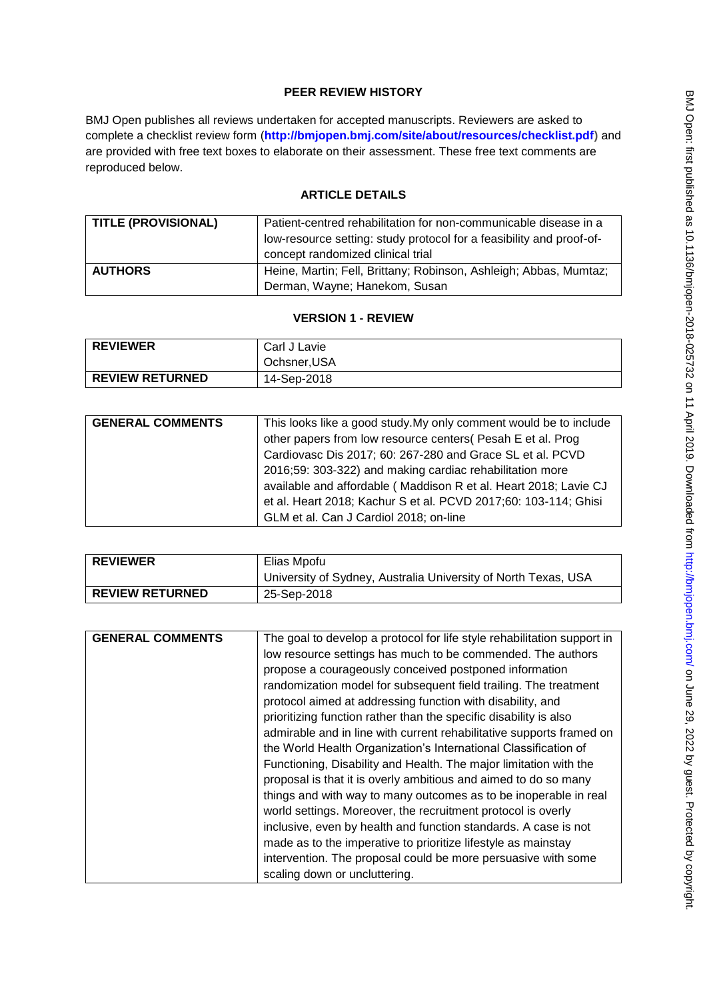# **PEER REVIEW HISTORY**

BMJ Open publishes all reviews undertaken for accepted manuscripts. Reviewers are asked to complete a checklist review form (**[http://bmjopen.bmj.com/site/about/resources/checklist.pdf\)](http://bmjopen.bmj.com/site/about/resources/checklist.pdf)** and are provided with free text boxes to elaborate on their assessment. These free text comments are reproduced below.

# **ARTICLE DETAILS**

| <b>TITLE (PROVISIONAL)</b> | Patient-centred rehabilitation for non-communicable disease in a     |
|----------------------------|----------------------------------------------------------------------|
|                            | low-resource setting: study protocol for a feasibility and proof-of- |
|                            | concept randomized clinical trial                                    |
| <b>AUTHORS</b>             | Heine, Martin; Fell, Brittany; Robinson, Ashleigh; Abbas, Mumtaz;    |
|                            | Derman, Wayne; Hanekom, Susan                                        |

## **VERSION 1 - REVIEW**

| <b>REVIEWER</b>        | Carl J Lavie |
|------------------------|--------------|
|                        | Ochsner, USA |
| <b>REVIEW RETURNED</b> | 14-Sep-2018  |

| <b>GENERAL COMMENTS</b> | This looks like a good study. My only comment would be to include<br>other papers from low resource centers (Pesah E et al. Prog<br>Cardiovasc Dis 2017; 60: 267-280 and Grace SL et al. PCVD<br>2016;59: 303-322) and making cardiac rehabilitation more<br>available and affordable (Maddison R et al. Heart 2018; Lavie CJ |
|-------------------------|-------------------------------------------------------------------------------------------------------------------------------------------------------------------------------------------------------------------------------------------------------------------------------------------------------------------------------|
|                         | et al. Heart 2018; Kachur S et al. PCVD 2017;60: 103-114; Ghisi<br>GLM et al. Can J Cardiol 2018; on-line                                                                                                                                                                                                                     |

| <b>REVIEWER</b>        | Elias Mpofu                                                    |
|------------------------|----------------------------------------------------------------|
|                        | University of Sydney, Australia University of North Texas, USA |
| <b>REVIEW RETURNED</b> | 25-Sep-2018                                                    |

| <b>GENERAL COMMENTS</b> | The goal to develop a protocol for life style rehabilitation support in |
|-------------------------|-------------------------------------------------------------------------|
|                         | low resource settings has much to be commended. The authors             |
|                         | propose a courageously conceived postponed information                  |
|                         | randomization model for subsequent field trailing. The treatment        |
|                         | protocol aimed at addressing function with disability, and              |
|                         | prioritizing function rather than the specific disability is also       |
|                         | admirable and in line with current rehabilitative supports framed on    |
|                         | the World Health Organization's International Classification of         |
|                         | Functioning, Disability and Health. The major limitation with the       |
|                         | proposal is that it is overly ambitious and aimed to do so many         |
|                         | things and with way to many outcomes as to be inoperable in real        |
|                         | world settings. Moreover, the recruitment protocol is overly            |
|                         | inclusive, even by health and function standards. A case is not         |
|                         | made as to the imperative to prioritize lifestyle as mainstay           |
|                         | intervention. The proposal could be more persuasive with some           |
|                         | scaling down or uncluttering.                                           |
|                         |                                                                         |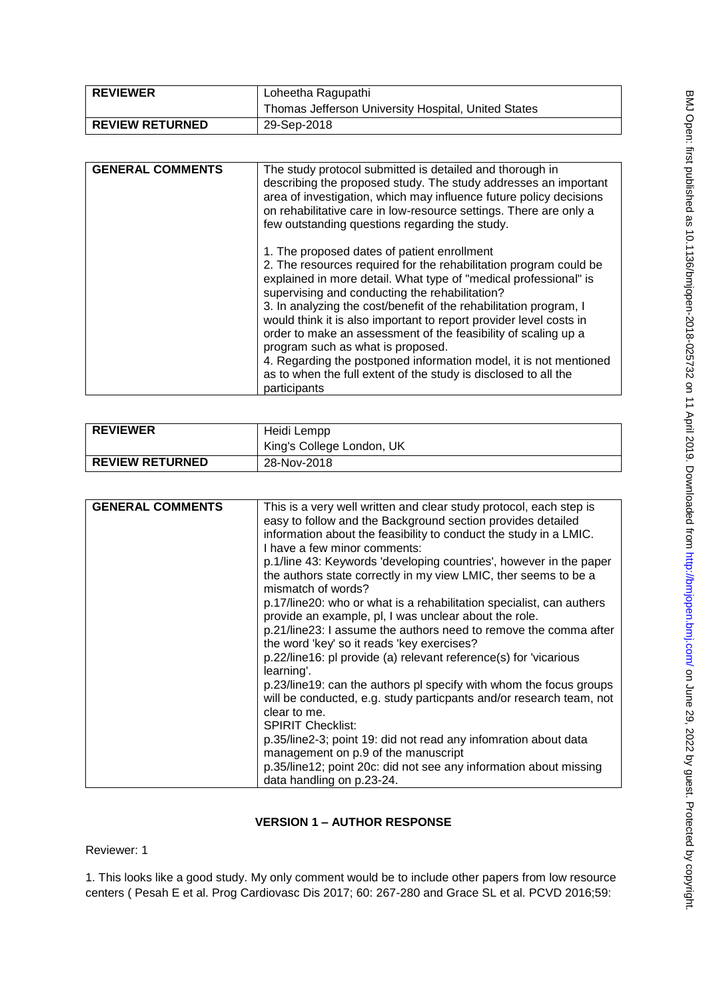| <b>REVIEWER</b>        | Loheetha Ragupathi                                  |
|------------------------|-----------------------------------------------------|
|                        | Thomas Jefferson University Hospital, United States |
| <b>REVIEW RETURNED</b> | 29-Sep-2018                                         |

| <b>GENERAL COMMENTS</b> | The study protocol submitted is detailed and thorough in<br>describing the proposed study. The study addresses an important<br>area of investigation, which may influence future policy decisions<br>on rehabilitative care in low-resource settings. There are only a<br>few outstanding questions regarding the study.                                                                                                                                                                                                                                                                                                                         |
|-------------------------|--------------------------------------------------------------------------------------------------------------------------------------------------------------------------------------------------------------------------------------------------------------------------------------------------------------------------------------------------------------------------------------------------------------------------------------------------------------------------------------------------------------------------------------------------------------------------------------------------------------------------------------------------|
|                         | 1. The proposed dates of patient enrollment<br>2. The resources required for the rehabilitation program could be<br>explained in more detail. What type of "medical professional" is<br>supervising and conducting the rehabilitation?<br>3. In analyzing the cost/benefit of the rehabilitation program, I<br>would think it is also important to report provider level costs in<br>order to make an assessment of the feasibility of scaling up a<br>program such as what is proposed.<br>4. Regarding the postponed information model, it is not mentioned<br>as to when the full extent of the study is disclosed to all the<br>participants |

| <b>REVIEWER</b>        | Heidi Lempp<br>King's College London, UK |
|------------------------|------------------------------------------|
| <b>REVIEW RETURNED</b> | 28-Nov-2018                              |

| <b>GENERAL COMMENTS</b> | This is a very well written and clear study protocol, each step is                                                                        |
|-------------------------|-------------------------------------------------------------------------------------------------------------------------------------------|
|                         | easy to follow and the Background section provides detailed                                                                               |
|                         | information about the feasibility to conduct the study in a LMIC.                                                                         |
|                         | I have a few minor comments:                                                                                                              |
|                         | p.1/line 43: Keywords 'developing countries', however in the paper                                                                        |
|                         | the authors state correctly in my view LMIC, ther seems to be a<br>mismatch of words?                                                     |
|                         | p.17/line20: who or what is a rehabilitation specialist, can authers<br>provide an example, pl, I was unclear about the role.             |
|                         | p.21/line23: I assume the authors need to remove the comma after<br>the word 'key' so it reads 'key exercises?                            |
|                         | p.22/line16: pl provide (a) relevant reference(s) for 'vicarious<br>learning'.                                                            |
|                         | p.23/line19: can the authors pl specify with whom the focus groups<br>will be conducted, e.g. study particpants and/or research team, not |
|                         | clear to me.                                                                                                                              |
|                         | <b>SPIRIT Checklist:</b>                                                                                                                  |
|                         | p.35/line2-3; point 19: did not read any infomration about data                                                                           |
|                         | management on p.9 of the manuscript                                                                                                       |
|                         | p.35/line12; point 20c: did not see any information about missing                                                                         |
|                         |                                                                                                                                           |
|                         | data handling on p.23-24.                                                                                                                 |

# **VERSION 1 – AUTHOR RESPONSE**

Reviewer: 1

1. This looks like a good study. My only comment would be to include other papers from low resource centers ( Pesah E et al. Prog Cardiovasc Dis 2017; 60: 267-280 and Grace SL et al. PCVD 2016;59: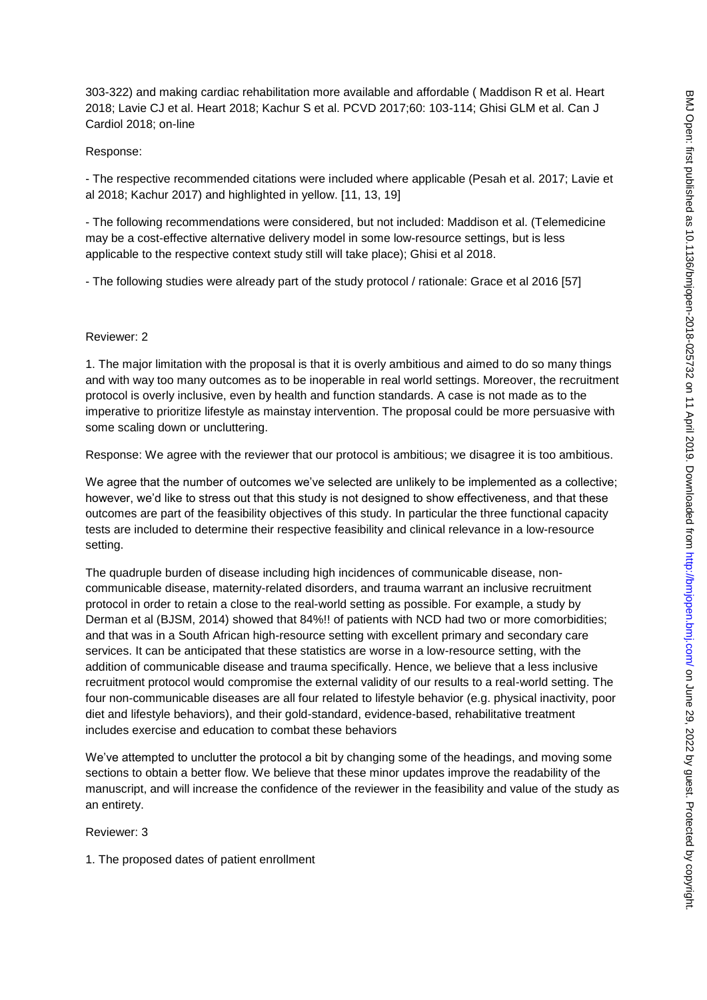303-322) and making cardiac rehabilitation more available and affordable ( Maddison R et al. Heart 2018; Lavie CJ et al. Heart 2018; Kachur S et al. PCVD 2017;60: 103-114; Ghisi GLM et al. Can J Cardiol 2018; on-line

### Response:

- The respective recommended citations were included where applicable (Pesah et al. 2017; Lavie et al 2018; Kachur 2017) and highlighted in yellow. [11, 13, 19]

- The following recommendations were considered, but not included: Maddison et al. (Telemedicine may be a cost-effective alternative delivery model in some low-resource settings, but is less applicable to the respective context study still will take place); Ghisi et al 2018.

- The following studies were already part of the study protocol / rationale: Grace et al 2016 [57]

#### Reviewer: 2

1. The major limitation with the proposal is that it is overly ambitious and aimed to do so many things and with way too many outcomes as to be inoperable in real world settings. Moreover, the recruitment protocol is overly inclusive, even by health and function standards. A case is not made as to the imperative to prioritize lifestyle as mainstay intervention. The proposal could be more persuasive with some scaling down or uncluttering.

Response: We agree with the reviewer that our protocol is ambitious; we disagree it is too ambitious.

We agree that the number of outcomes we've selected are unlikely to be implemented as a collective; however, we'd like to stress out that this study is not designed to show effectiveness, and that these outcomes are part of the feasibility objectives of this study. In particular the three functional capacity tests are included to determine their respective feasibility and clinical relevance in a low-resource setting.

The quadruple burden of disease including high incidences of communicable disease, noncommunicable disease, maternity-related disorders, and trauma warrant an inclusive recruitment protocol in order to retain a close to the real-world setting as possible. For example, a study by Derman et al (BJSM, 2014) showed that 84%!! of patients with NCD had two or more comorbidities; and that was in a South African high-resource setting with excellent primary and secondary care services. It can be anticipated that these statistics are worse in a low-resource setting, with the addition of communicable disease and trauma specifically. Hence, we believe that a less inclusive recruitment protocol would compromise the external validity of our results to a real-world setting. The four non-communicable diseases are all four related to lifestyle behavior (e.g. physical inactivity, poor diet and lifestyle behaviors), and their gold-standard, evidence-based, rehabilitative treatment includes exercise and education to combat these behaviors

We've attempted to unclutter the protocol a bit by changing some of the headings, and moving some sections to obtain a better flow. We believe that these minor updates improve the readability of the manuscript, and will increase the confidence of the reviewer in the feasibility and value of the study as an entirety.

Reviewer: 3

1. The proposed dates of patient enrollment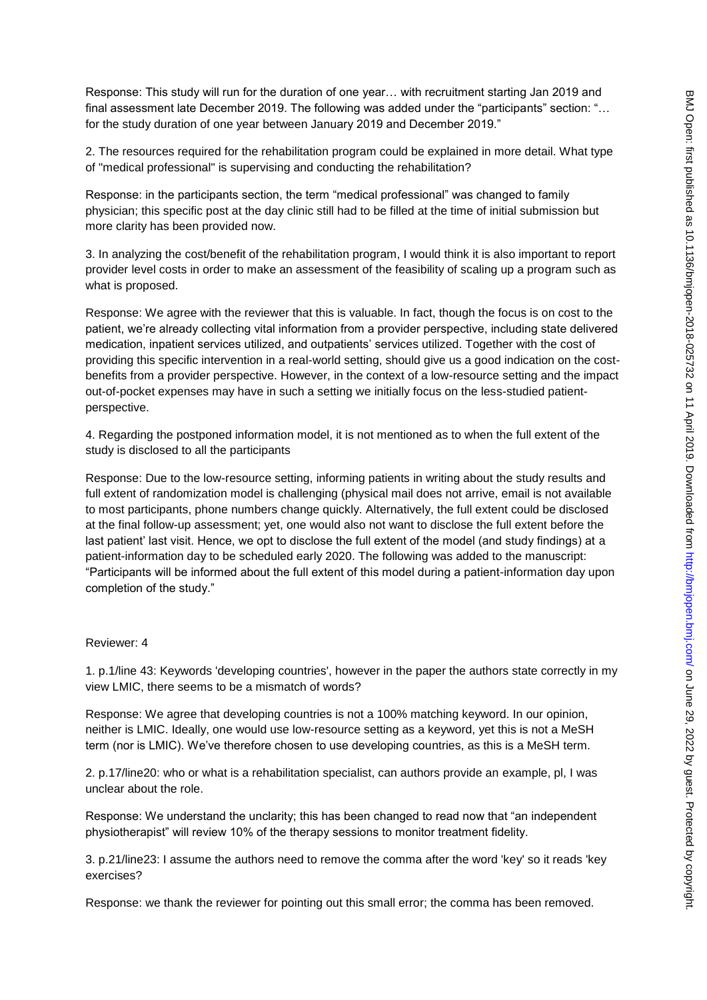Response: This study will run for the duration of one year… with recruitment starting Jan 2019 and final assessment late December 2019. The following was added under the "participants" section: "... for the study duration of one year between January 2019 and December 2019."

2. The resources required for the rehabilitation program could be explained in more detail. What type of "medical professional" is supervising and conducting the rehabilitation?

Response: in the participants section, the term "medical professional" was changed to family physician; this specific post at the day clinic still had to be filled at the time of initial submission but more clarity has been provided now.

3. In analyzing the cost/benefit of the rehabilitation program, I would think it is also important to report provider level costs in order to make an assessment of the feasibility of scaling up a program such as what is proposed.

Response: We agree with the reviewer that this is valuable. In fact, though the focus is on cost to the patient, we're already collecting vital information from a provider perspective, including state delivered medication, inpatient services utilized, and outpatients' services utilized. Together with the cost of providing this specific intervention in a real-world setting, should give us a good indication on the costbenefits from a provider perspective. However, in the context of a low-resource setting and the impact out-of-pocket expenses may have in such a setting we initially focus on the less-studied patientperspective.

4. Regarding the postponed information model, it is not mentioned as to when the full extent of the study is disclosed to all the participants

Response: Due to the low-resource setting, informing patients in writing about the study results and full extent of randomization model is challenging (physical mail does not arrive, email is not available to most participants, phone numbers change quickly. Alternatively, the full extent could be disclosed at the final follow-up assessment; yet, one would also not want to disclose the full extent before the last patient' last visit. Hence, we opt to disclose the full extent of the model (and study findings) at a patient-information day to be scheduled early 2020. The following was added to the manuscript: "Participants will be informed about the full extent of this model during a patient-information day upon completion of the study."

#### Reviewer: 4

1. p.1/line 43: Keywords 'developing countries', however in the paper the authors state correctly in my view LMIC, there seems to be a mismatch of words?

Response: We agree that developing countries is not a 100% matching keyword. In our opinion, neither is LMIC. Ideally, one would use low-resource setting as a keyword, yet this is not a MeSH term (nor is LMIC). We've therefore chosen to use developing countries, as this is a MeSH term.

2. p.17/line20: who or what is a rehabilitation specialist, can authors provide an example, pl, I was unclear about the role.

Response: We understand the unclarity; this has been changed to read now that "an independent physiotherapist" will review 10% of the therapy sessions to monitor treatment fidelity.

3. p.21/line23: I assume the authors need to remove the comma after the word 'key' so it reads 'key exercises?

Response: we thank the reviewer for pointing out this small error; the comma has been removed.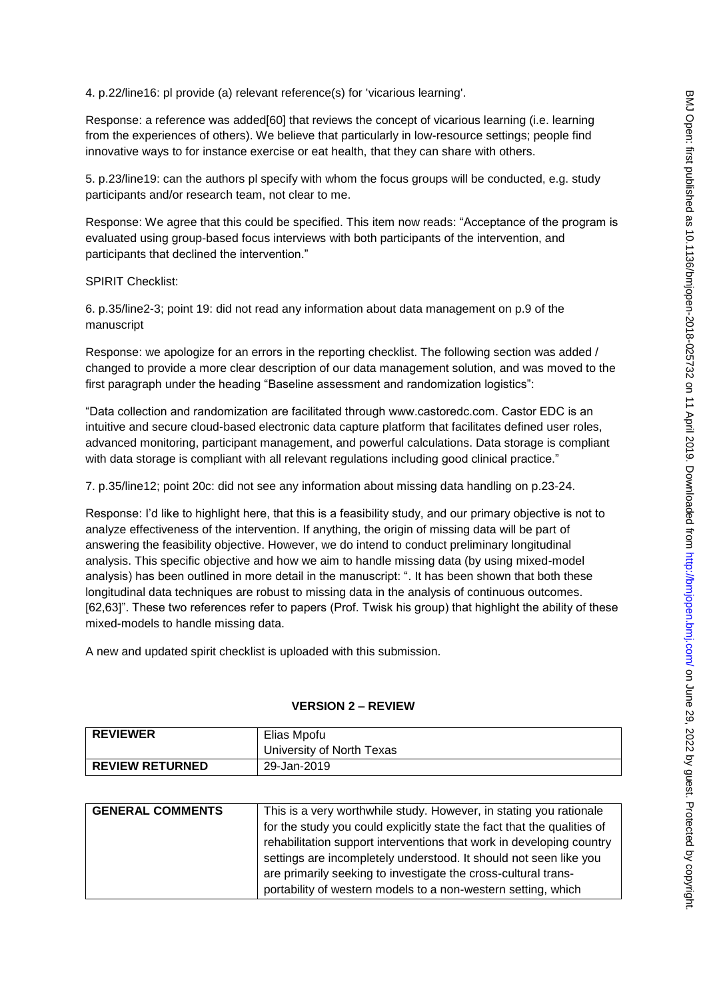4. p.22/line16: pl provide (a) relevant reference(s) for 'vicarious learning'.

Response: a reference was added[60] that reviews the concept of vicarious learning (i.e. learning from the experiences of others). We believe that particularly in low-resource settings; people find innovative ways to for instance exercise or eat health, that they can share with others.

5. p.23/line19: can the authors pl specify with whom the focus groups will be conducted, e.g. study participants and/or research team, not clear to me.

Response: We agree that this could be specified. This item now reads: "Acceptance of the program is evaluated using group-based focus interviews with both participants of the intervention, and participants that declined the intervention."

SPIRIT Checklist:

6. p.35/line2-3; point 19: did not read any information about data management on p.9 of the manuscript

Response: we apologize for an errors in the reporting checklist. The following section was added / changed to provide a more clear description of our data management solution, and was moved to the first paragraph under the heading "Baseline assessment and randomization logistics":

"Data collection and randomization are facilitated through www.castoredc.com. Castor EDC is an intuitive and secure cloud-based electronic data capture platform that facilitates defined user roles, advanced monitoring, participant management, and powerful calculations. Data storage is compliant with data storage is compliant with all relevant regulations including good clinical practice."

7. p.35/line12; point 20c: did not see any information about missing data handling on p.23-24.

Response: I'd like to highlight here, that this is a feasibility study, and our primary objective is not to analyze effectiveness of the intervention. If anything, the origin of missing data will be part of answering the feasibility objective. However, we do intend to conduct preliminary longitudinal analysis. This specific objective and how we aim to handle missing data (by using mixed-model analysis) has been outlined in more detail in the manuscript: ". It has been shown that both these longitudinal data techniques are robust to missing data in the analysis of continuous outcomes. [62,63]". These two references refer to papers (Prof. Twisk his group) that highlight the ability of these mixed-models to handle missing data.

A new and updated spirit checklist is uploaded with this submission.

#### **VERSION 2 – REVIEW**

| <b>REVIEWER</b>        | Elias Mpofu               |
|------------------------|---------------------------|
|                        | University of North Texas |
| <b>REVIEW RETURNED</b> | 29-Jan-2019               |

| <b>GENERAL COMMENTS</b> | This is a very worthwhile study. However, in stating you rationale      |
|-------------------------|-------------------------------------------------------------------------|
|                         | for the study you could explicitly state the fact that the qualities of |
|                         | rehabilitation support interventions that work in developing country    |
|                         | settings are incompletely understood. It should not seen like you       |
|                         | are primarily seeking to investigate the cross-cultural trans-          |
|                         | portability of western models to a non-western setting, which           |